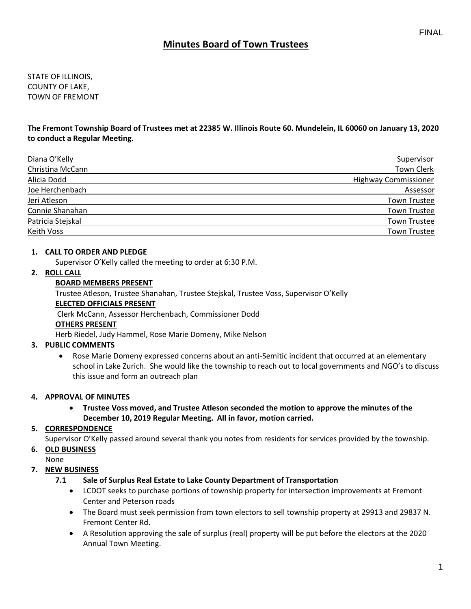# **Minutes Board of Town Trustees**

STATE OF ILLINOIS, COUNTY OF LAKE, TOWN OF FREMONT

**The Fremont Township Board of Trustees met at 22385 W. Illinois Route 60. Mundelein, IL 60060 on January 13, 2020 to conduct a Regular Meeting.**

| Diana O'Kelly     | <b>Supervisor</b>           |
|-------------------|-----------------------------|
| Christina McCann  | <b>Town Clerk</b>           |
| Alicia Dodd       | <b>Highway Commissioner</b> |
| Joe Herchenbach   | Assessor                    |
| Jeri Atleson      | <b>Town Trustee</b>         |
| Connie Shanahan   | <b>Town Trustee</b>         |
| Patricia Stejskal | <b>Town Trustee</b>         |
| Keith Voss        | <b>Town Trustee</b>         |

### **1. CALL TO ORDER AND PLEDGE**

Supervisor O'Kelly called the meeting to order at 6:30 P.M.

#### **2. ROLL CALL**

### **BOARD MEMBERS PRESENT**

Trustee Atleson, Trustee Shanahan, Trustee Stejskal, Trustee Voss, Supervisor O'Kelly

#### **ELECTED OFFICIALS PRESENT**

Clerk McCann, Assessor Herchenbach, Commissioner Dodd

## **OTHERS PRESENT**

Herb Riedel, Judy Hammel, Rose Marie Domeny, Mike Nelson

### **3. PUBLIC COMMENTS**

• Rose Marie Domeny expressed concerns about an anti-Semitic incident that occurred at an elementary school in Lake Zurich. She would like the township to reach out to local governments and NGO's to discuss this issue and form an outreach plan

#### **4. APPROVAL OF MINUTES**

• **Trustee Voss moved, and Trustee Atleson seconded the motion to approve the minutes of the December 10, 2019 Regular Meeting. All in favor, motion carried.** 

### **5. CORRESPONDENCE**

Supervisor O'Kelly passed around several thank you notes from residents for services provided by the township.

#### **6. OLD BUSINESS**

None

### **7. NEW BUSINESS**

### **7.1 Sale of Surplus Real Estate to Lake County Department of Transportation**

- LCDOT seeks to purchase portions of township property for intersection improvements at Fremont Center and Peterson roads
- The Board must seek permission from town electors to sell township property at 29913 and 29837 N. Fremont Center Rd.
- A Resolution approving the sale of surplus (real) property will be put before the electors at the 2020 Annual Town Meeting.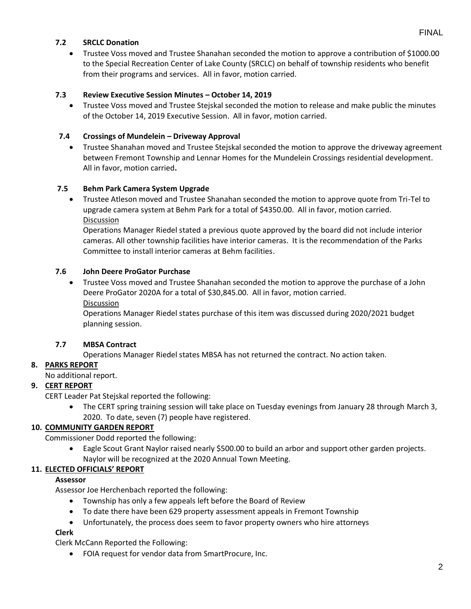## **7.2 SRCLC Donation**

• Trustee Voss moved and Trustee Shanahan seconded the motion to approve a contribution of \$1000.00 to the Special Recreation Center of Lake County (SRCLC) on behalf of township residents who benefit from their programs and services. All in favor, motion carried.

### **7.3 Review Executive Session Minutes – October 14, 2019**

• Trustee Voss moved and Trustee Stejskal seconded the motion to release and make public the minutes of the October 14, 2019 Executive Session. All in favor, motion carried.

## **7.4 Crossings of Mundelein – Driveway Approval**

• Trustee Shanahan moved and Trustee Stejskal seconded the motion to approve the driveway agreement between Fremont Township and Lennar Homes for the Mundelein Crossings residential development. All in favor, motion carried**.**

### **7.5 Behm Park Camera System Upgrade**

• Trustee Atleson moved and Trustee Shanahan seconded the motion to approve quote from Tri-Tel to upgrade camera system at Behm Park for a total of \$4350.00. All in favor, motion carried. Discussion

Operations Manager Riedel stated a previous quote approved by the board did not include interior cameras. All other township facilities have interior cameras. It is the recommendation of the Parks Committee to install interior cameras at Behm facilities.

### **7.6 John Deere ProGator Purchase**

• Trustee Voss moved and Trustee Shanahan seconded the motion to approve the purchase of a John Deere ProGator 2020A for a total of \$30,845.00. All in favor, motion carried.

Discussion

Operations Manager Riedel states purchase of this item was discussed during 2020/2021 budget planning session.

### **7.7 MBSA Contract**

Operations Manager Riedel states MBSA has not returned the contract. No action taken.

### **8. PARKS REPORT**

No additional report.

## **9. CERT REPORT**

CERT Leader Pat Stejskal reported the following:

• The CERT spring training session will take place on Tuesday evenings from January 28 through March 3, 2020. To date, seven (7) people have registered.

### **10. COMMUNITY GARDEN REPORT**

Commissioner Dodd reported the following:

• Eagle Scout Grant Naylor raised nearly \$500.00 to build an arbor and support other garden projects. Naylor will be recognized at the 2020 Annual Town Meeting.

### **11. ELECTED OFFICIALS' REPORT**

### **Assessor**

Assessor Joe Herchenbach reported the following:

- Township has only a few appeals left before the Board of Review
- To date there have been 629 property assessment appeals in Fremont Township
- Unfortunately, the process does seem to favor property owners who hire attorneys

## **Clerk**

Clerk McCann Reported the Following:

• FOIA request for vendor data from SmartProcure, Inc.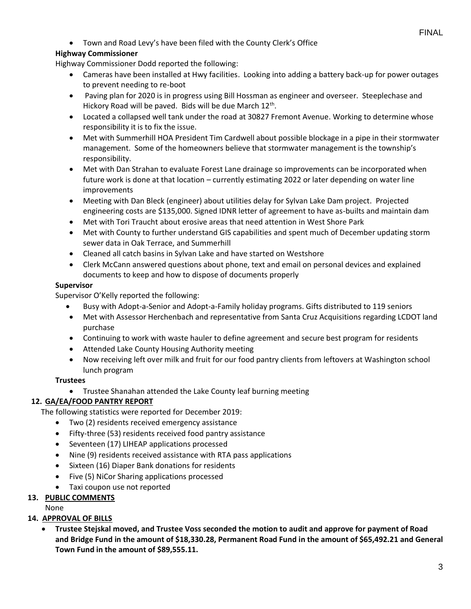• Town and Road Levy's have been filed with the County Clerk's Office

## **Highway Commissioner**

Highway Commissioner Dodd reported the following:

- Cameras have been installed at Hwy facilities. Looking into adding a battery back-up for power outages to prevent needing to re-boot
- Paving plan for 2020 is in progress using Bill Hossman as engineer and overseer. Steeplechase and Hickory Road will be paved. Bids will be due March 12<sup>th</sup>.
- Located a collapsed well tank under the road at 30827 Fremont Avenue. Working to determine whose responsibility it is to fix the issue.
- Met with Summerhill HOA President Tim Cardwell about possible blockage in a pipe in their stormwater management. Some of the homeowners believe that stormwater management is the township's responsibility.
- Met with Dan Strahan to evaluate Forest Lane drainage so improvements can be incorporated when future work is done at that location – currently estimating 2022 or later depending on water line improvements
- Meeting with Dan Bleck (engineer) about utilities delay for Sylvan Lake Dam project. Projected engineering costs are \$135,000. Signed IDNR letter of agreement to have as-builts and maintain dam
- Met with Tori Traucht about erosive areas that need attention in West Shore Park
- Met with County to further understand GIS capabilities and spent much of December updating storm sewer data in Oak Terrace, and Summerhill
- Cleaned all catch basins in Sylvan Lake and have started on Westshore
- Clerk McCann answered questions about phone, text and email on personal devices and explained documents to keep and how to dispose of documents properly

## **Supervisor**

Supervisor O'Kelly reported the following:

- Busy with Adopt-a-Senior and Adopt-a-Family holiday programs. Gifts distributed to 119 seniors
- Met with Assessor Herchenbach and representative from Santa Cruz Acquisitions regarding LCDOT land purchase
- Continuing to work with waste hauler to define agreement and secure best program for residents
- Attended Lake County Housing Authority meeting
- Now receiving left over milk and fruit for our food pantry clients from leftovers at Washington school lunch program

## **Trustees**

• Trustee Shanahan attended the Lake County leaf burning meeting

# **12. GA/EA/FOOD PANTRY REPORT**

The following statistics were reported for December 2019:

- Two (2) residents received emergency assistance
- Fifty-three (53) residents received food pantry assistance
- Seventeen (17) LIHEAP applications processed
- Nine (9) residents received assistance with RTA pass applications
- Sixteen (16) Diaper Bank donations for residents
- Five (5) NiCor Sharing applications processed
- Taxi coupon use not reported

# **13. PUBLIC COMMENTS**

None

# **14. APPROVAL OF BILLS**

• **Trustee Stejskal moved, and Trustee Voss seconded the motion to audit and approve for payment of Road and Bridge Fund in the amount of \$18,330.28, Permanent Road Fund in the amount of \$65,492.21 and General Town Fund in the amount of \$89,555.11.**